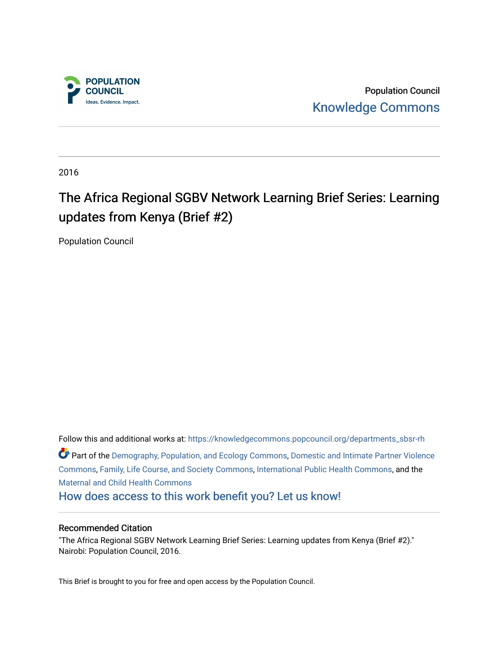

Population Council [Knowledge Commons](https://knowledgecommons.popcouncil.org/) 

2016

# The Africa Regional SGBV Network Learning Brief Series: Learning updates from Kenya (Brief #2)

Population Council

Follow this and additional works at: [https://knowledgecommons.popcouncil.org/departments\\_sbsr-rh](https://knowledgecommons.popcouncil.org/departments_sbsr-rh?utm_source=knowledgecommons.popcouncil.org%2Fdepartments_sbsr-rh%2F646&utm_medium=PDF&utm_campaign=PDFCoverPages)  Part of the [Demography, Population, and Ecology Commons,](https://network.bepress.com/hgg/discipline/418?utm_source=knowledgecommons.popcouncil.org%2Fdepartments_sbsr-rh%2F646&utm_medium=PDF&utm_campaign=PDFCoverPages) [Domestic and Intimate Partner Violence](https://network.bepress.com/hgg/discipline/1309?utm_source=knowledgecommons.popcouncil.org%2Fdepartments_sbsr-rh%2F646&utm_medium=PDF&utm_campaign=PDFCoverPages)  [Commons](https://network.bepress.com/hgg/discipline/1309?utm_source=knowledgecommons.popcouncil.org%2Fdepartments_sbsr-rh%2F646&utm_medium=PDF&utm_campaign=PDFCoverPages), [Family, Life Course, and Society Commons,](https://network.bepress.com/hgg/discipline/419?utm_source=knowledgecommons.popcouncil.org%2Fdepartments_sbsr-rh%2F646&utm_medium=PDF&utm_campaign=PDFCoverPages) [International Public Health Commons](https://network.bepress.com/hgg/discipline/746?utm_source=knowledgecommons.popcouncil.org%2Fdepartments_sbsr-rh%2F646&utm_medium=PDF&utm_campaign=PDFCoverPages), and the [Maternal and Child Health Commons](https://network.bepress.com/hgg/discipline/745?utm_source=knowledgecommons.popcouncil.org%2Fdepartments_sbsr-rh%2F646&utm_medium=PDF&utm_campaign=PDFCoverPages)  [How does access to this work benefit you? Let us know!](https://pcouncil.wufoo.com/forms/open-access-to-population-council-research/)

#### Recommended Citation

"The Africa Regional SGBV Network Learning Brief Series: Learning updates from Kenya (Brief #2)." Nairobi: Population Council, 2016.

This Brief is brought to you for free and open access by the Population Council.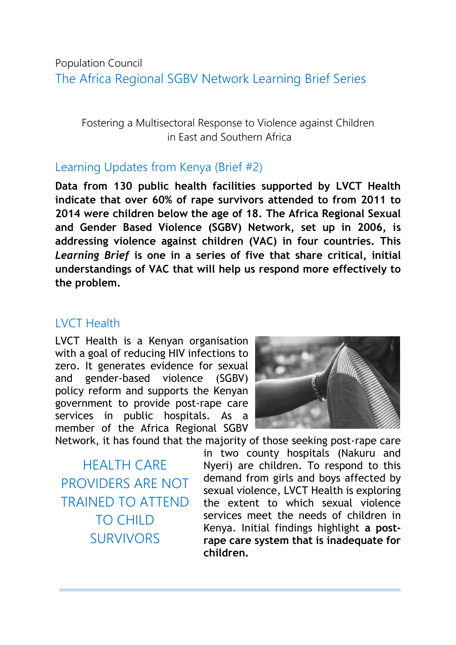### Population Council The Africa Regional SGBV Network Learning Brief Series

Fostering a Multisectoral Response to Violence against Children in East and Southern Africa

#### Learning Updates from Kenya (Brief #2)

**Data from 130 public health facilities supported by LVCT Health indicate that over 60% of rape survivors attended to from 2011 to 2014 were children below the age of 18. The Africa Regional Sexual and Gender Based Violence (SGBV) Network, set up in 2006, is addressing violence against children (VAC) in four countries. This**  *Learning Brief* **is one in a series of five that share critical, initial understandings of VAC that will help us respond more effectively to the problem.**

#### LVCT Health

LVCT Health is a Kenyan organisation with a goal of reducing HIV infections to zero. It generates evidence for sexual and gender-based violence (SGBV) policy reform and supports the Kenyan government to provide post-rape care services in public hospitals. As a member of the Africa Regional SGBV



Network, it has found that the majority of those seeking post-rape care

HEALTH CARE PROVIDERS ARE NOT TRAINED TO ATTEND TO CHILD SURVIVORS

in two county hospitals (Nakuru and Nyeri) are children. To respond to this demand from girls and boys affected by sexual violence, LVCT Health is exploring the extent to which sexual violence services meet the needs of children in Kenya. Initial findings highlight **a postrape care system that is inadequate for children.**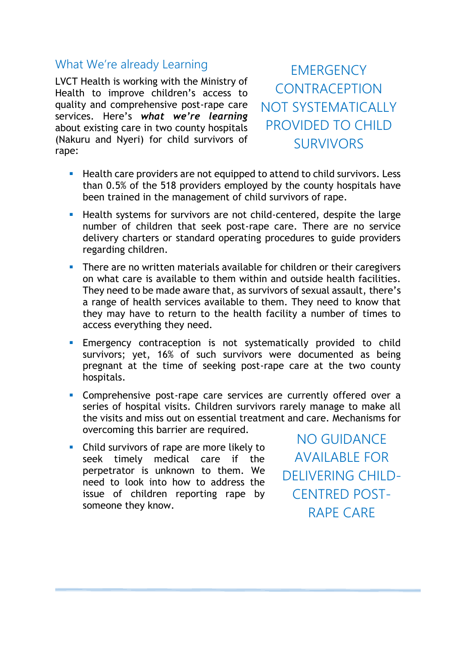#### What We're already Learning

LVCT Health is working with the Ministry of Health to improve children's access to quality and comprehensive post-rape care services. Here's *what we're learning* about existing care in two county hospitals (Nakuru and Nyeri) for child survivors of rape:

**EMERGENCY CONTRACEPTION** NOT SYSTEMATICALLY PROVIDED TO CHILD SURVIVORS

- **Health care providers are not equipped to attend to child survivors. Less** than 0.5% of the 518 providers employed by the county hospitals have been trained in the management of child survivors of rape.
- **Health systems for survivors are not child-centered, despite the large** number of children that seek post-rape care. There are no service delivery charters or standard operating procedures to guide providers regarding children.
- **There are no written materials available for children or their caregivers** on what care is available to them within and outside health facilities. They need to be made aware that, as survivors of sexual assault, there's a range of health services available to them. They need to know that they may have to return to the health facility a number of times to access everything they need.
- Emergency contraception is not systematically provided to child survivors; yet, 16% of such survivors were documented as being pregnant at the time of seeking post-rape care at the two county hospitals.
- **Comprehensive post-rape care services are currently offered over a** series of hospital visits. Children survivors rarely manage to make all the visits and miss out on essential treatment and care. Mechanisms for overcoming this barrier are required.
- Child survivors of rape are more likely to seek timely medical care if the perpetrator is unknown to them. We need to look into how to address the issue of children reporting rape by someone they know.

NO GUIDANCE AVAILABLE FOR DELIVERING CHILD-CENTRED POST-RAPE CARE